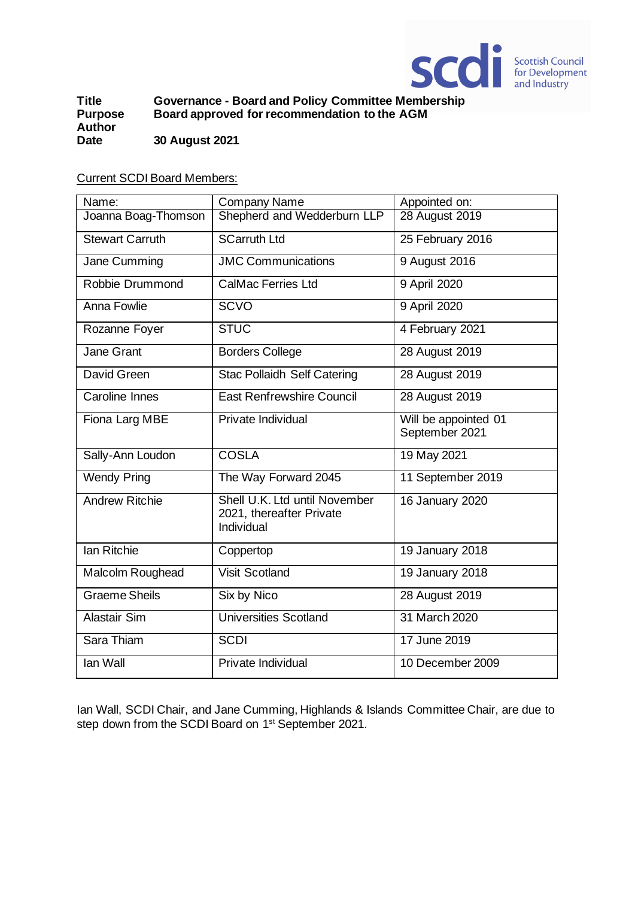

**Title Governance - Board and Policy Committee Membership Board approved for recommendation to the AGM Author Date 30 August 2021**

Current SCDI Board Members:

| Name:                  | <b>Company Name</b>                                                     | Appointed on:                          |
|------------------------|-------------------------------------------------------------------------|----------------------------------------|
| Joanna Boag-Thomson    | Shepherd and Wedderburn LLP                                             | 28 August 2019                         |
| <b>Stewart Carruth</b> | <b>SCarruth Ltd</b>                                                     | 25 February 2016                       |
| Jane Cumming           | <b>JMC Communications</b>                                               | 9 August 2016                          |
| Robbie Drummond        | <b>CalMac Ferries Ltd</b>                                               | 9 April 2020                           |
| <b>Anna Fowlie</b>     | <b>SCVO</b>                                                             | 9 April 2020                           |
| Rozanne Foyer          | <b>STUC</b>                                                             | 4 February 2021                        |
| Jane Grant             | <b>Borders College</b>                                                  | 28 August 2019                         |
| David Green            | <b>Stac Pollaidh Self Catering</b>                                      | 28 August 2019                         |
| Caroline Innes         | <b>East Renfrewshire Council</b>                                        | 28 August 2019                         |
| Fiona Larg MBE         | Private Individual                                                      | Will be appointed 01<br>September 2021 |
| Sally-Ann Loudon       | <b>COSLA</b>                                                            | 19 May 2021                            |
| <b>Wendy Pring</b>     | The Way Forward 2045                                                    | 11 September 2019                      |
| <b>Andrew Ritchie</b>  | Shell U.K. Ltd until November<br>2021, thereafter Private<br>Individual | 16 January 2020                        |
| Ian Ritchie            | Coppertop                                                               | 19 January 2018                        |
| Malcolm Roughead       | <b>Visit Scotland</b>                                                   | 19 January 2018                        |
| <b>Graeme Sheils</b>   | Six by Nico                                                             | 28 August 2019                         |
| Alastair Sim           | <b>Universities Scotland</b>                                            | 31 March 2020                          |
| Sara Thiam             | <b>SCDI</b>                                                             | 17 June 2019                           |
| lan Wall               | Private Individual                                                      | 10 December 2009                       |

Ian Wall, SCDI Chair, and Jane Cumming, Highlands & Islands Committee Chair, are due to step down from the SCDI Board on 1<sup>st</sup> September 2021.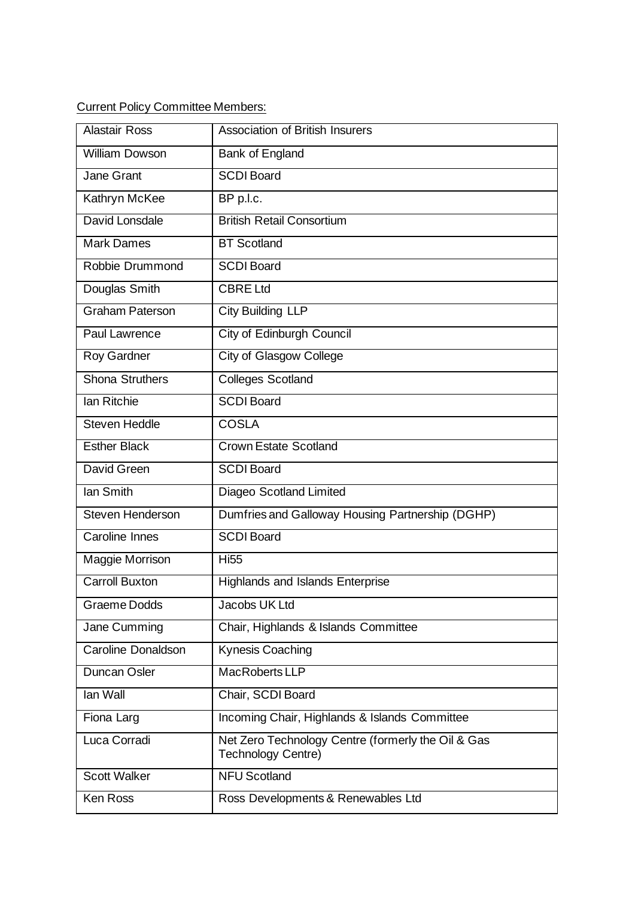Current Policy Committee Members:

| <b>Alastair Ross</b>      | <b>Association of British Insurers</b>                                          |  |
|---------------------------|---------------------------------------------------------------------------------|--|
| <b>William Dowson</b>     | Bank of England                                                                 |  |
| Jane Grant                | <b>SCDI Board</b>                                                               |  |
| Kathryn McKee             | BP p.l.c.                                                                       |  |
| David Lonsdale            | <b>British Retail Consortium</b>                                                |  |
| <b>Mark Dames</b>         | <b>BT</b> Scotland                                                              |  |
| Robbie Drummond           | <b>SCDI Board</b>                                                               |  |
| Douglas Smith             | <b>CBRE Ltd</b>                                                                 |  |
| <b>Graham Paterson</b>    | <b>City Building LLP</b>                                                        |  |
| Paul Lawrence             | <b>City of Edinburgh Council</b>                                                |  |
| <b>Roy Gardner</b>        | <b>City of Glasgow College</b>                                                  |  |
| <b>Shona Struthers</b>    | <b>Colleges Scotland</b>                                                        |  |
| <b>Ian Ritchie</b>        | <b>SCDI Board</b>                                                               |  |
| <b>Steven Heddle</b>      | <b>COSLA</b>                                                                    |  |
| <b>Esther Black</b>       | <b>Crown Estate Scotland</b>                                                    |  |
| David Green               | <b>SCDI Board</b>                                                               |  |
| lan Smith                 | Diageo Scotland Limited                                                         |  |
| Steven Henderson          | Dumfries and Galloway Housing Partnership (DGHP)                                |  |
| Caroline Innes            | <b>SCDI Board</b>                                                               |  |
| Maggie Morrison           | <b>Hi55</b>                                                                     |  |
| <b>Carroll Buxton</b>     | <b>Highlands and Islands Enterprise</b>                                         |  |
| <b>Graeme Dodds</b>       | Jacobs UK Ltd                                                                   |  |
| Jane Cumming              | Chair, Highlands & Islands Committee                                            |  |
| <b>Caroline Donaldson</b> | Kynesis Coaching                                                                |  |
| Duncan Osler              | MacRoberts LLP                                                                  |  |
| lan Wall                  | Chair, SCDI Board                                                               |  |
| Fiona Larg                | Incoming Chair, Highlands & Islands Committee                                   |  |
| Luca Corradi              | Net Zero Technology Centre (formerly the Oil & Gas<br><b>Technology Centre)</b> |  |
| <b>Scott Walker</b>       | <b>NFU Scotland</b>                                                             |  |
| Ken Ross                  | Ross Developments & Renewables Ltd                                              |  |